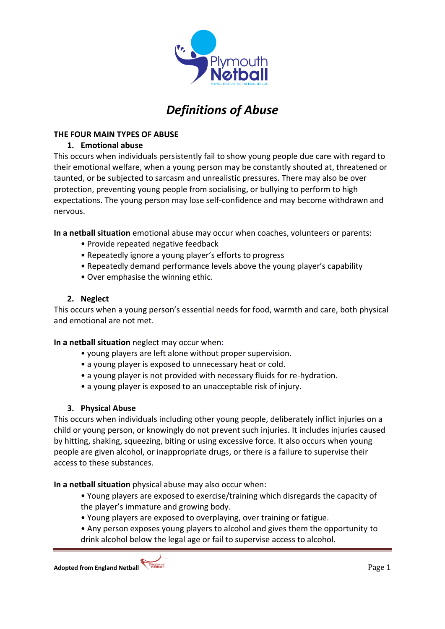

# *Definitions of Abuse*

## **THE FOUR MAIN TYPES OF ABUSE**

## **1. Emotional abuse**

This occurs when individuals persistently fail to show young people due care with regard to their emotional welfare, when a young person may be constantly shouted at, threatened or taunted, or be subjected to sarcasm and unrealistic pressures. There may also be over protection, preventing young people from socialising, or bullying to perform to high expectations. The young person may lose self-confidence and may become withdrawn and nervous.

**In a netball situation** emotional abuse may occur when coaches, volunteers or parents:

- Provide repeated negative feedback
- Repeatedly ignore a young player's efforts to progress
- Repeatedly demand performance levels above the young player's capability
- Over emphasise the winning ethic.

### **2. Neglect**

This occurs when a young person's essential needs for food, warmth and care, both physical and emotional are not met.

### **In a netball situation** neglect may occur when:

- young players are left alone without proper supervision.
- a young player is exposed to unnecessary heat or cold.
- a young player is not provided with necessary fluids for re-hydration.
- a young player is exposed to an unacceptable risk of injury.

### **3. Physical Abuse**

This occurs when individuals including other young people, deliberately inflict injuries on a child or young person, or knowingly do not prevent such injuries. It includes injuries caused by hitting, shaking, squeezing, biting or using excessive force. It also occurs when young people are given alcohol, or inappropriate drugs, or there is a failure to supervise their access to these substances.

**In a netball situation** physical abuse may also occur when:

• Young players are exposed to exercise/training which disregards the capacity of the player's immature and growing body.

- Young players are exposed to overplaying, over training or fatigue.
- Any person exposes young players to alcohol and gives them the opportunity to drink alcohol below the legal age or fail to supervise access to alcohol.